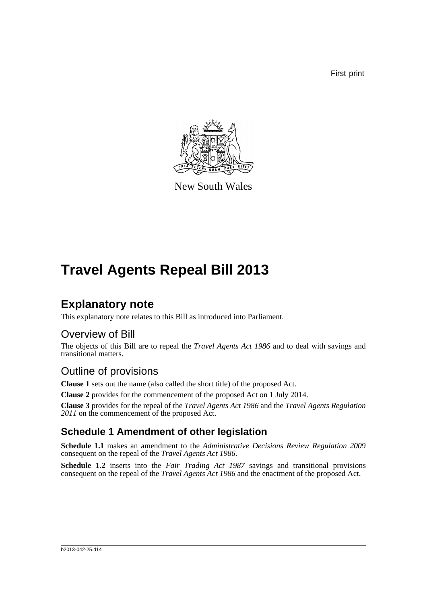First print



New South Wales

## **Travel Agents Repeal Bill 2013**

### **Explanatory note**

This explanatory note relates to this Bill as introduced into Parliament.

#### Overview of Bill

The objects of this Bill are to repeal the *Travel Agents Act 1986* and to deal with savings and transitional matters.

### Outline of provisions

**Clause 1** sets out the name (also called the short title) of the proposed Act.

**Clause 2** provides for the commencement of the proposed Act on 1 July 2014.

**Clause 3** provides for the repeal of the *Travel Agents Act 1986* and the *Travel Agents Regulation 2011* on the commencement of the proposed Act.

#### **Schedule 1 Amendment of other legislation**

**Schedule 1.1** makes an amendment to the *Administrative Decisions Review Regulation 2009* consequent on the repeal of the *Travel Agents Act 1986*.

**Schedule 1.2** inserts into the *Fair Trading Act 1987* savings and transitional provisions consequent on the repeal of the *Travel Agents Act 1986* and the enactment of the proposed Act.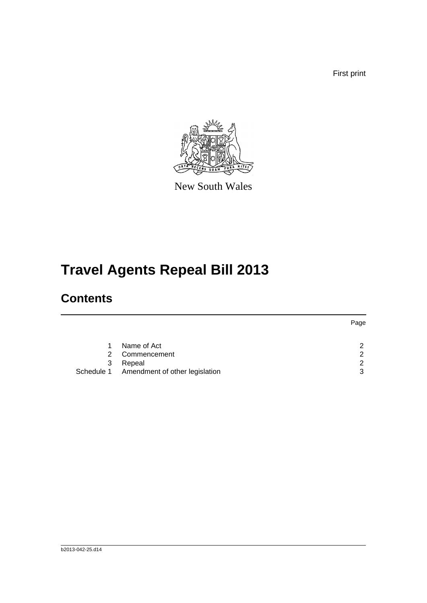First print

Page



New South Wales

# **Travel Agents Repeal Bill 2013**

### **Contents**

|               |                                           | Page          |
|---------------|-------------------------------------------|---------------|
|               |                                           |               |
|               | Name of Act                               | 2             |
| $\mathcal{P}$ | Commencement                              | $\mathcal{P}$ |
| 3             | Repeal                                    | $\mathcal{P}$ |
|               | Schedule 1 Amendment of other legislation | 3             |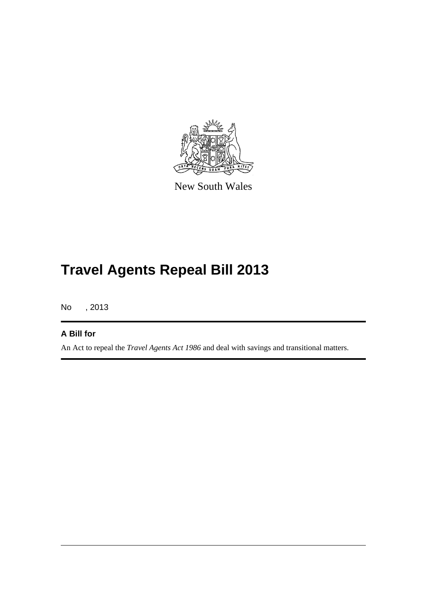

New South Wales

## **Travel Agents Repeal Bill 2013**

No , 2013

#### **A Bill for**

An Act to repeal the *Travel Agents Act 1986* and deal with savings and transitional matters.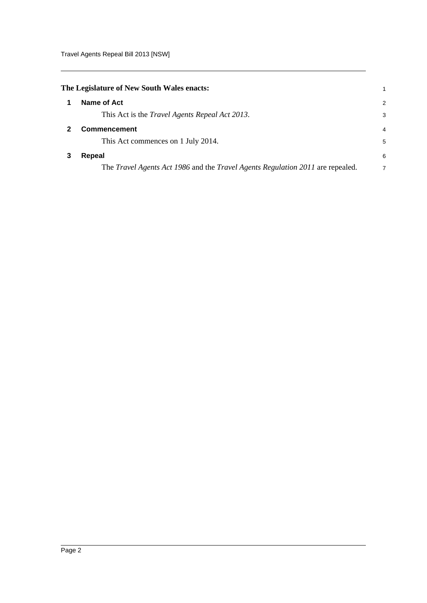Travel Agents Repeal Bill 2013 [NSW]

<span id="page-3-2"></span><span id="page-3-1"></span><span id="page-3-0"></span>

| The Legislature of New South Wales enacts: |                                                                                              |                |
|--------------------------------------------|----------------------------------------------------------------------------------------------|----------------|
|                                            | Name of Act                                                                                  | $\overline{2}$ |
|                                            | This Act is the <i>Travel Agents Repeal Act 2013</i> .                                       | 3              |
|                                            | <b>Commencement</b>                                                                          | 4              |
|                                            | This Act commences on 1 July 2014.                                                           | 5              |
|                                            | Repeal                                                                                       | 6              |
|                                            | The <i>Travel Agents Act 1986</i> and the <i>Travel Agents Regulation 2011</i> are repealed. | 7              |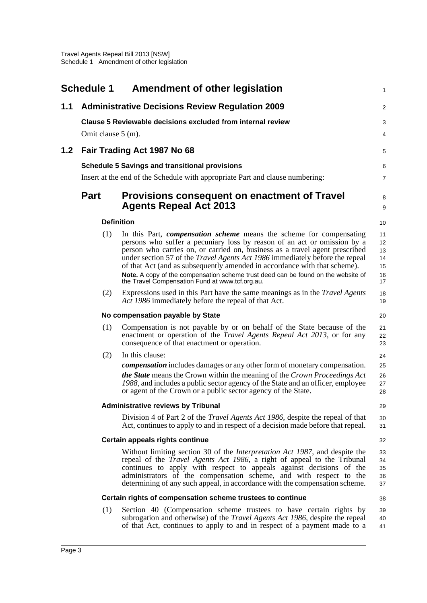<span id="page-4-0"></span>

|     | <b>Schedule 1</b>  | <b>Amendment of other legislation</b>                                                                                                                                                                                                                                                                                                                                                                                                                                                                                                      | 1                                      |
|-----|--------------------|--------------------------------------------------------------------------------------------------------------------------------------------------------------------------------------------------------------------------------------------------------------------------------------------------------------------------------------------------------------------------------------------------------------------------------------------------------------------------------------------------------------------------------------------|----------------------------------------|
| 1.1 |                    | <b>Administrative Decisions Review Regulation 2009</b>                                                                                                                                                                                                                                                                                                                                                                                                                                                                                     | 2                                      |
|     |                    | Clause 5 Reviewable decisions excluded from internal review                                                                                                                                                                                                                                                                                                                                                                                                                                                                                | 3                                      |
|     | Omit clause 5 (m). |                                                                                                                                                                                                                                                                                                                                                                                                                                                                                                                                            | 4                                      |
| 1.2 |                    | Fair Trading Act 1987 No 68                                                                                                                                                                                                                                                                                                                                                                                                                                                                                                                | 5                                      |
|     |                    | <b>Schedule 5 Savings and transitional provisions</b>                                                                                                                                                                                                                                                                                                                                                                                                                                                                                      | 6                                      |
|     |                    | Insert at the end of the Schedule with appropriate Part and clause numbering:                                                                                                                                                                                                                                                                                                                                                                                                                                                              | 7                                      |
|     | <b>Part</b>        | Provisions consequent on enactment of Travel<br><b>Agents Repeal Act 2013</b>                                                                                                                                                                                                                                                                                                                                                                                                                                                              | 8<br>9                                 |
|     |                    | <b>Definition</b>                                                                                                                                                                                                                                                                                                                                                                                                                                                                                                                          | 10                                     |
|     | (1)                | In this Part, <i>compensation scheme</i> means the scheme for compensating<br>persons who suffer a pecuniary loss by reason of an act or omission by a<br>person who carries on, or carried on, business as a travel agent prescribed<br>under section 57 of the Travel Agents Act 1986 immediately before the repeal<br>of that Act (and as subsequently amended in accordance with that scheme).<br>Note. A copy of the compensation scheme trust deed can be found on the website of<br>the Travel Compensation Fund at www.tcf.org.au. | 11<br>12<br>13<br>14<br>15<br>16<br>17 |
|     | (2)                | Expressions used in this Part have the same meanings as in the <i>Travel Agents</i><br>Act 1986 immediately before the repeal of that Act.                                                                                                                                                                                                                                                                                                                                                                                                 | 18<br>19                               |
|     |                    | No compensation payable by State                                                                                                                                                                                                                                                                                                                                                                                                                                                                                                           | 20                                     |
|     | (1)                | Compensation is not payable by or on behalf of the State because of the<br>enactment or operation of the <i>Travel Agents Repeal Act 2013</i> , or for any<br>consequence of that enactment or operation.                                                                                                                                                                                                                                                                                                                                  | 21<br>22<br>23                         |
|     | (2)                | In this clause:                                                                                                                                                                                                                                                                                                                                                                                                                                                                                                                            | 24                                     |
|     |                    | <i>compensation</i> includes damages or any other form of monetary compensation.<br>the State means the Crown within the meaning of the Crown Proceedings Act<br>1988, and includes a public sector agency of the State and an officer, employee<br>or agent of the Crown or a public sector agency of the State.                                                                                                                                                                                                                          | 25<br>26<br>27<br>28                   |
|     |                    | <b>Administrative reviews by Tribunal</b>                                                                                                                                                                                                                                                                                                                                                                                                                                                                                                  | 29                                     |
|     |                    | Division 4 of Part 2 of the <i>Travel Agents Act 1986</i> , despite the repeal of that<br>Act, continues to apply to and in respect of a decision made before that repeal.                                                                                                                                                                                                                                                                                                                                                                 | 30<br>31                               |
|     |                    | Certain appeals rights continue                                                                                                                                                                                                                                                                                                                                                                                                                                                                                                            | 32                                     |
|     |                    | Without limiting section 30 of the <i>Interpretation Act 1987</i> , and despite the<br>repeal of the <i>Travel Agents Act 1986</i> , a right of appeal to the Tribunal<br>continues to apply with respect to appeals against decisions of the<br>administrators of the compensation scheme, and with respect to the<br>determining of any such appeal, in accordance with the compensation scheme.                                                                                                                                         | 33<br>34<br>35<br>36<br>37             |
|     |                    | Certain rights of compensation scheme trustees to continue                                                                                                                                                                                                                                                                                                                                                                                                                                                                                 | 38                                     |
|     | (1)                | Section 40 (Compensation scheme trustees to have certain rights by<br>subrogation and otherwise) of the <i>Travel Agents Act 1986</i> , despite the repeal<br>of that Act, continues to apply to and in respect of a payment made to a                                                                                                                                                                                                                                                                                                     | 39<br>40<br>41                         |